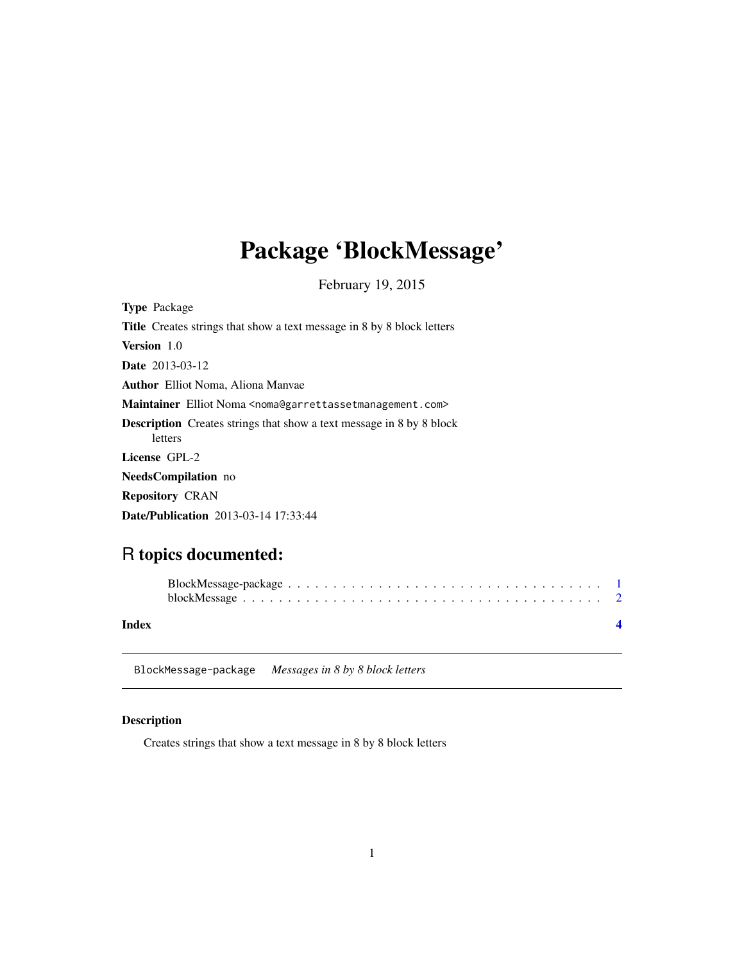# <span id="page-0-0"></span>Package 'BlockMessage'

February 19, 2015

| <b>Type Package</b>                                                                        |
|--------------------------------------------------------------------------------------------|
| <b>Title</b> Creates strings that show a text message in 8 by 8 block letters              |
| Version 1.0                                                                                |
| <b>Date</b> 2013-03-12                                                                     |
| <b>Author</b> Elliot Noma, Aliona Manyae                                                   |
| Maintainer Elliot Noma <noma@garrettassetmanagement.com></noma@garrettassetmanagement.com> |
| <b>Description</b> Creates strings that show a text message in 8 by 8 block<br>letters     |
| License GPL-2                                                                              |
| <b>NeedsCompilation</b> no                                                                 |
| <b>Repository CRAN</b>                                                                     |
| Date/Publication 2013-03-14 17:33:44                                                       |

# R topics documented:

| Index |  |  |  |  |  |  |  |  |  |  |  |  |  |  |  |
|-------|--|--|--|--|--|--|--|--|--|--|--|--|--|--|--|

BlockMessage-package *Messages in 8 by 8 block letters*

# Description

Creates strings that show a text message in 8 by 8 block letters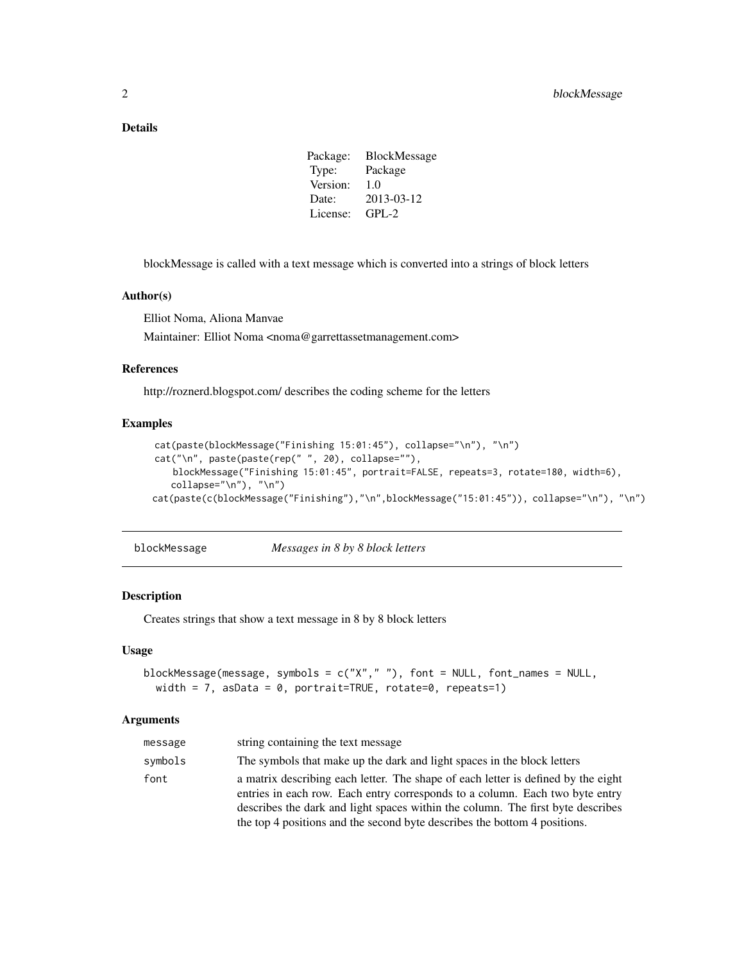# <span id="page-1-0"></span>Details

| <b>BlockMessage</b> |
|---------------------|
| Package             |
| 1.0                 |
| 2013-03-12          |
| $GPI - 2$           |
|                     |

blockMessage is called with a text message which is converted into a strings of block letters

# Author(s)

Elliot Noma, Aliona Manvae

Maintainer: Elliot Noma <noma@garrettassetmanagement.com>

# References

http://roznerd.blogspot.com/ describes the coding scheme for the letters

## Examples

```
cat(paste(blockMessage("Finishing 15:01:45"), collapse="\n"), "\n")
cat("\n", paste(paste(rep(" ", 20), collapse=""),
   blockMessage("Finishing 15:01:45", portrait=FALSE, repeats=3, rotate=180, width=6),
   collapse="\n"), "\n")
cat(paste(c(blockMessage("Finishing"),"\n",blockMessage("15:01:45")), collapse="\n"), "\n")
```
blockMessage *Messages in 8 by 8 block letters*

#### Description

Creates strings that show a text message in 8 by 8 block letters

#### Usage

```
blockMessage(message, symbols = c("X"," "), font = NULL, font_names = NULL,
 width = 7, asData = 0, portrait=TRUE, rotate=0, repeats=1)
```
#### Arguments

| message | string containing the text message                                                                                                                                                                                                                                                                                                |
|---------|-----------------------------------------------------------------------------------------------------------------------------------------------------------------------------------------------------------------------------------------------------------------------------------------------------------------------------------|
| symbols | The symbols that make up the dark and light spaces in the block letters                                                                                                                                                                                                                                                           |
| font    | a matrix describing each letter. The shape of each letter is defined by the eight<br>entries in each row. Each entry corresponds to a column. Each two byte entry<br>describes the dark and light spaces within the column. The first byte describes<br>the top 4 positions and the second byte describes the bottom 4 positions. |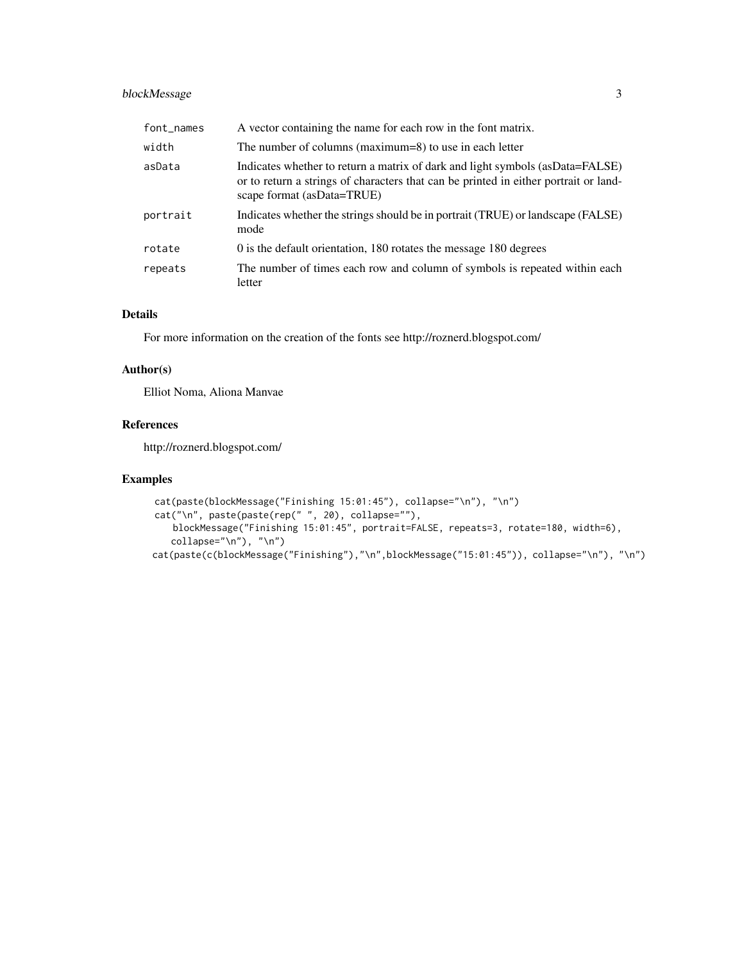# blockMessage 3

| font_names | A vector containing the name for each row in the font matrix.                                                                                                                                        |
|------------|------------------------------------------------------------------------------------------------------------------------------------------------------------------------------------------------------|
| width      | The number of columns (maximum=8) to use in each letter                                                                                                                                              |
| asData     | Indicates whether to return a matrix of dark and light symbols (as Data=FALSE)<br>or to return a strings of characters that can be printed in either portrait or land-<br>scape format (asData=TRUE) |
| portrait   | Indicates whether the strings should be in portrait (TRUE) or landscape (FALSE)<br>mode                                                                                                              |
| rotate     | 0 is the default orientation, 180 rotates the message 180 degrees                                                                                                                                    |
| repeats    | The number of times each row and column of symbols is repeated within each<br>letter                                                                                                                 |

# Details

For more information on the creation of the fonts see http://roznerd.blogspot.com/

### Author(s)

Elliot Noma, Aliona Manvae

# References

http://roznerd.blogspot.com/

# Examples

```
cat(paste(blockMessage("Finishing 15:01:45"), collapse="\n"), "\n")
cat("\n", paste(paste(rep(" ", 20), collapse=""),
   blockMessage("Finishing 15:01:45", portrait=FALSE, repeats=3, rotate=180, width=6),
   collapse="\n"), "\n")
cat(paste(c(blockMessage("Finishing"),"\n",blockMessage("15:01:45")), collapse="\n"), "\n")
```